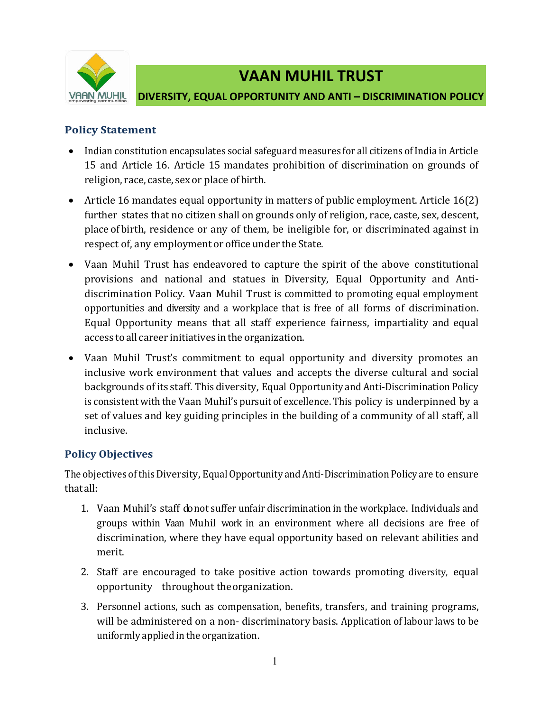

# **VAAN MUHIL TRUST**

#### **DIVERSITY, EQUAL OPPORTUNITY AND ANTI – DISCRIMINATION POLICY**

#### **Policy Statement**

- Indian constitution encapsulates social safeguard measures for all citizens of India in Article 15 and Article 16. Article 15 mandates prohibition of discrimination on grounds of religion, race, caste, sex or place ofbirth.
- Article 16 mandates equal opportunity in matters of public employment. Article 16(2) further states that no citizen shall on grounds only of religion, race, caste, sex, descent, place of birth, residence or any of them, be ineligible for, or discriminated against in respect of, any employment or office under the State.
- Vaan Muhil Trust has endeavored to capture the spirit of the above constitutional provisions and national and statues in Diversity, Equal Opportunity and Antidiscrimination Policy. Vaan Muhil Trust is committed to promoting equal employment opportunities and diversity and a workplace that is free of all forms of discrimination. Equal Opportunity means that all staff experience fairness, impartiality and equal access to all career initiatives in the organization.
- Vaan Muhil Trust's commitment to equal opportunity and diversity promotes an inclusive work environment that values and accepts the diverse cultural and social backgrounds of its staff. This diversity, Equal Opportunity and Anti-Discrimination Policy is consistent with the Vaan Muhil's pursuit of excellence. This policy is underpinned by a set of values and key guiding principles in the building of a community of all staff, all inclusive.

## **Policy Objectives**

The objectives of this Diversity, Equal Opportunity and Anti-Discrimination Policy are to ensure thatall:

- 1. Vaan Muhil's staff donot suffer unfair discrimination in the workplace. Individuals and groups within Vaan Muhil work in an environment where all decisions are free of discrimination, where they have equal opportunity based on relevant abilities and merit.
- 2. Staff are encouraged to take positive action towards promoting diversity, equal opportunity throughout theorganization.
- 3. Personnel actions, such as compensation, benefits, transfers, and training programs, will be administered on a non- discriminatory basis. Application of labour laws to be uniformly applied in the organization.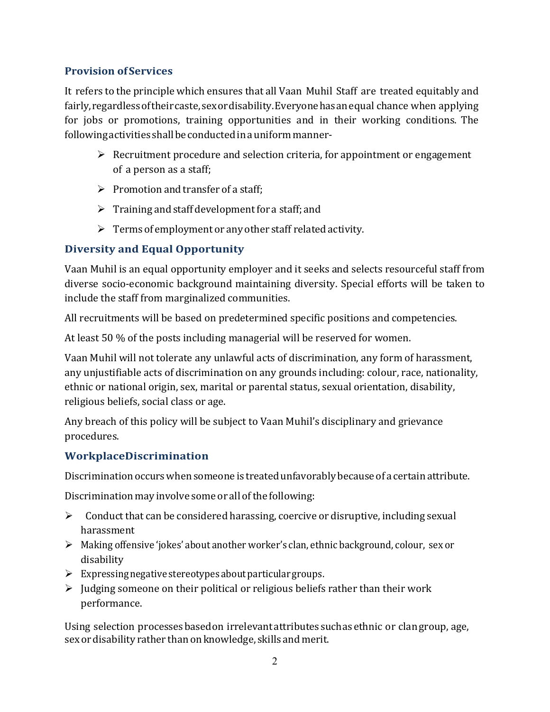## **Provision ofServices**

It refers to the principle which ensures that all Vaan Muhil Staff are treated equitably and fairly, regardless of their caste, sex or disability. Everyone has an equal chance when applying for jobs or promotions, training opportunities and in their working conditions. The following activities shall be conducted in a uniform manner-

- $\triangleright$  Recruitment procedure and selection criteria, for appointment or engagement of a person as a staff;
- $\triangleright$  Promotion and transfer of a staff:
- $\triangleright$  Training and staff development for a staff; and
- $\triangleright$  Terms of employment or any other staff related activity.

## **Diversity and Equal Opportunity**

Vaan Muhil is an equal opportunity employer and it seeks and selects resourceful staff from diverse socio-economic background maintaining diversity. Special efforts will be taken to include the staff from marginalized communities.

All recruitments will be based on predetermined specific positions and competencies.

At least 50 % of the posts including managerial will be reserved for women.

Vaan Muhil will not tolerate any unlawful acts of discrimination, any form of harassment, any unjustifiable acts of discrimination on any grounds including: colour, race, nationality, ethnic or national origin, sex, marital or parental status, sexual orientation, disability, religious beliefs, social class or age.

Any breach of this policy will be subject to Vaan Muhil's disciplinary and grievance procedures.

## **WorkplaceDiscrimination**

Discrimination occurs when someone is treated unfavorably because of a certain attribute.

Discrimination may involve some or all of the following:

- $\triangleright$  Conduct that can be considered harassing, coercive or disruptive, including sexual harassment
- Making offensive 'jokes' about another worker's clan, ethnic background, colour, sex or disability
- $\triangleright$  Expressing negative stereotypes about particular groups.
- $\triangleright$  Judging someone on their political or religious beliefs rather than their work performance.

Using selection processes basedon irrelevant attributes suchas ethnic or clan group, age, sex or disability rather than on knowledge, skills and merit.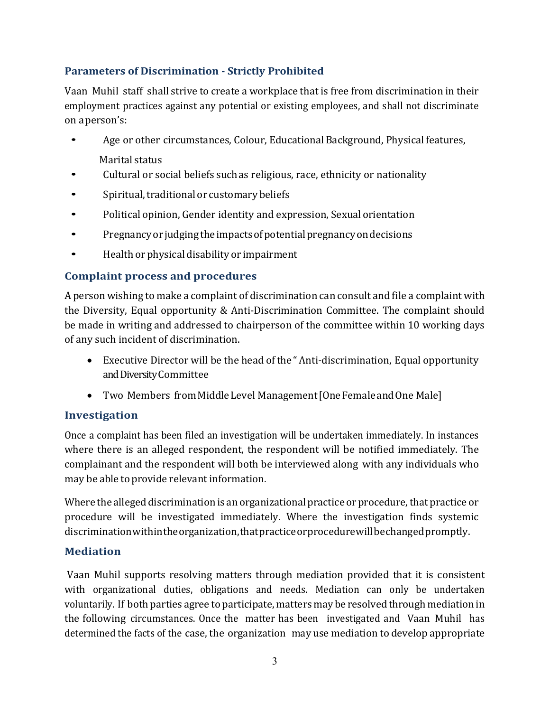## **Parameters of Discrimination - Strictly Prohibited**

Vaan Muhil staff shall strive to create a workplace that is free from discrimination in their employment practices against any potential or existing employees, and shall not discriminate on aperson's:

- Age or other circumstances, Colour, Educational Background, Physical features, Marital status
- Cultural or social beliefs such as religious, race, ethnicity or nationality
- Spiritual, traditional or customary beliefs
- Political opinion, Gender identity and expression, Sexual orientation
- Pregnancyor judgingtheimpactsofpotentialpregnancyondecisions
- Health or physical disability or impairment

## **Complaint process and procedures**

A person wishing to make a complaint of discrimination can consult and file a complaint with the Diversity, Equal opportunity & Anti-Discrimination Committee. The complaint should be made in writing and addressed to chairperson of the committee within 10 working days of any such incident of discrimination.

- Executive Director will be the head ofthe "Anti-discrimination, Equal opportunity and Diversity Committee
- Two Members from Middle Level Management [One Female and One Male]

## **Investigation**

Once a complaint has been filed an investigation will be undertaken immediately. In instances where there is an alleged respondent, the respondent will be notified immediately. The complainant and the respondent will both be interviewed along with any individuals who may be able to provide relevant information.

Where the alleged discrimination is an organizational practice or procedure, that practice or procedure will be investigated immediately. Where the investigation finds systemic discriminationwithintheorganization,thatpracticeorprocedurewillbechangedpromptly.

## **Mediation**

Vaan Muhil supports resolving matters through mediation provided that it is consistent with organizational duties, obligations and needs. Mediation can only be undertaken voluntarily. If both parties agree to participate, matters may be resolved through mediation in the following circumstances. Once the matter has been investigated and Vaan Muhil has determined the facts of the case, the organization may use mediation to develop appropriate